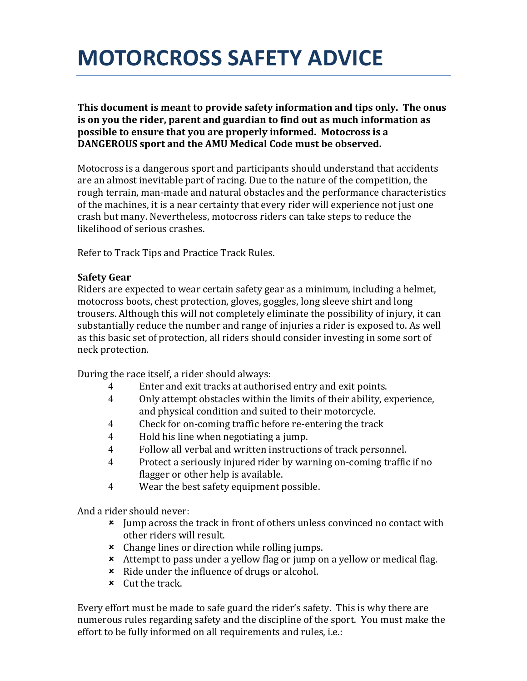# **MOTORCROSS SAFETY ADVICE**

**This document is meant to provide safety information and tips only. The onus is on you the rider, parent and guardian to find out as much information as possible to ensure that you are properly informed. Motocross is a DANGEROUS sport and the AMU Medical Code must be observed.**

Motocross is a dangerous sport and participants should understand that accidents are an almost inevitable part of racing. Due to the nature of the competition, the rough terrain, man-made and natural obstacles and the performance characteristics of the machines, it is a near certainty that every rider will experience not just one crash but many. Nevertheless, motocross riders can take steps to reduce the likelihood of serious crashes.

Refer to Track Tips and Practice Track Rules.

### **Safety Gear**

Riders are expected to wear certain safety gear as a minimum, including a helmet, motocross boots, chest protection, gloves, goggles, long sleeve shirt and long trousers. Although this will not completely eliminate the possibility of injury, it can substantially reduce the number and range of injuries a rider is exposed to. As well as this basic set of protection, all riders should consider investing in some sort of neck protection.

During the race itself, a rider should always:

- Enter and exit tracks at authorised entry and exit points.
- Only attempt obstacles within the limits of their ability, experience, and physical condition and suited to their motorcycle.
- Check for on-coming traffic before re-entering the track
- Hold his line when negotiating a jump.
- Follow all verbal and written instructions of track personnel.
- Protect a seriously injured rider by warning on-coming traffic if no flagger or other help is available.
- Wear the best safety equipment possible.

And a rider should never:

- \* Jump across the track in front of others unless convinced no contact with other riders will result.
- Change lines or direction while rolling jumps.
- \* Attempt to pass under a yellow flag or jump on a yellow or medical flag.
- **\*** Ride under the influence of drugs or alcohol.
- Cut the track.

Every effort must be made to safe guard the rider's safety. This is why there are numerous rules regarding safety and the discipline of the sport. You must make the effort to be fully informed on all requirements and rules, i.e.: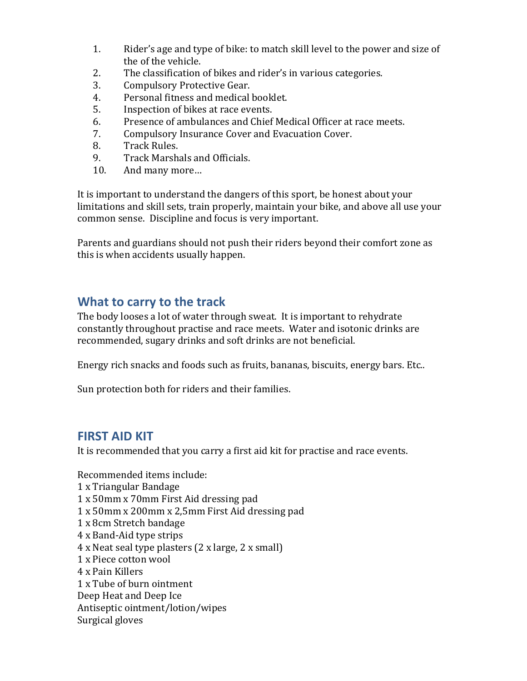- 1. Rider's age and type of bike: to match skill level to the power and size of the of the vehicle.
- 2. The classification of bikes and rider's in various categories.
- 3. Compulsory Protective Gear.
- 4. Personal fitness and medical booklet.
- 5. Inspection of bikes at race events.
- 6. Presence of ambulances and Chief Medical Officer at race meets.
- 7. Compulsory Insurance Cover and Evacuation Cover.
- 8. Track Rules.
- 9. Track Marshals and Officials.
- 10. And many more…

It is important to understand the dangers of this sport, be honest about your limitations and skill sets, train properly, maintain your bike, and above all use your common sense. Discipline and focus is very important.

Parents and guardians should not push their riders beyond their comfort zone as this is when accidents usually happen.

### **What to carry to the track**

The body looses a lot of water through sweat. It is important to rehydrate constantly throughout practise and race meets. Water and isotonic drinks are recommended, sugary drinks and soft drinks are not beneficial.

Energy rich snacks and foods such as fruits, bananas, biscuits, energy bars. Etc..

Sun protection both for riders and their families.

### **FIRST AID KIT**

It is recommended that you carry a first aid kit for practise and race events.

Recommended items include: 1 x Triangular Bandage 1 x 50mm x 70mm First Aid dressing pad 1 x 50mm x 200mm x 2,5mm First Aid dressing pad 1 x 8cm Stretch bandage 4 x Band-Aid type strips 4 x Neat seal type plasters (2 x large, 2 x small) 1 x Piece cotton wool 4 x Pain Killers 1 x Tube of burn ointment Deep Heat and Deep Ice Antiseptic ointment/lotion/wipes Surgical gloves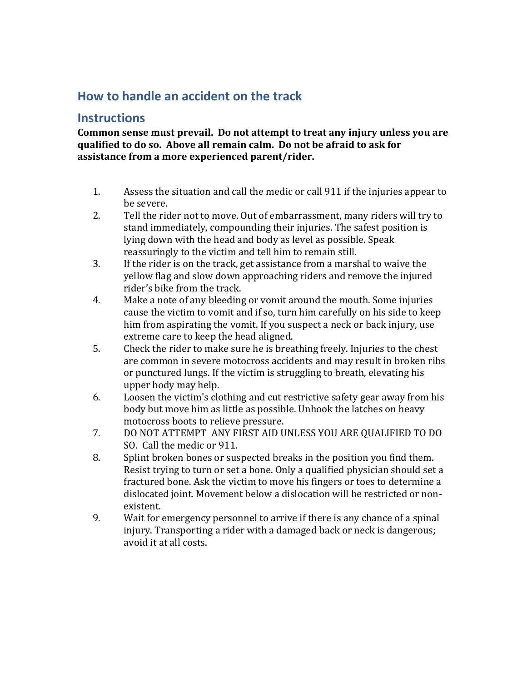# **How to handle an accident on the track**

### **Instructions**

**Common sense must prevail. Do not attempt to treat any injury unless you are qualified to do so. Above all remain calm. Do not be afraid to ask for assistance from a more experienced parent/rider.**

- 1. Assess the situation and call the medic or call 911 if the injuries appear to be severe.
- 2. Tell the rider not to move. Out of embarrassment, many riders will try to stand immediately, compounding their injuries. The safest position is lying down with the head and body as level as possible. Speak reassuringly to the victim and tell him to remain still.
- 3. If the rider is on the track, get assistance from a marshal to waive the yellow flag and slow down approaching riders and remove the injured rider's bike from the track.
- 4. Make a note of any bleeding or vomit around the mouth. Some injuries cause the victim to vomit and if so, turn him carefully on his side to keep him from aspirating the vomit. If you suspect a neck or back injury, use extreme care to keep the head aligned.
- 5. Check the rider to make sure he is breathing freely. Injuries to the chest are common in severe motocross accidents and may result in broken ribs or punctured lungs. If the victim is struggling to breath, elevating his upper body may help.
- 6. Loosen the victim's clothing and cut restrictive safety gear away from his body but move him as little as possible. Unhook the latches on heavy motocross boots to relieve pressure.
- 7. DO NOT ATTEMPT ANY FIRST AID UNLESS YOU ARE QUALIFIED TO DO SO. Call the medic or 911.
- 8. Splint broken bones or suspected breaks in the position you find them. Resist trying to turn or set a bone. Only a qualified physician should set a fractured bone. Ask the victim to move his fingers or toes to determine a dislocated joint. Movement below a dislocation will be restricted or nonexistent.
- 9. Wait for emergency personnel to arrive if there is any chance of a spinal injury. Transporting a rider with a damaged back or neck is dangerous; avoid it at all costs.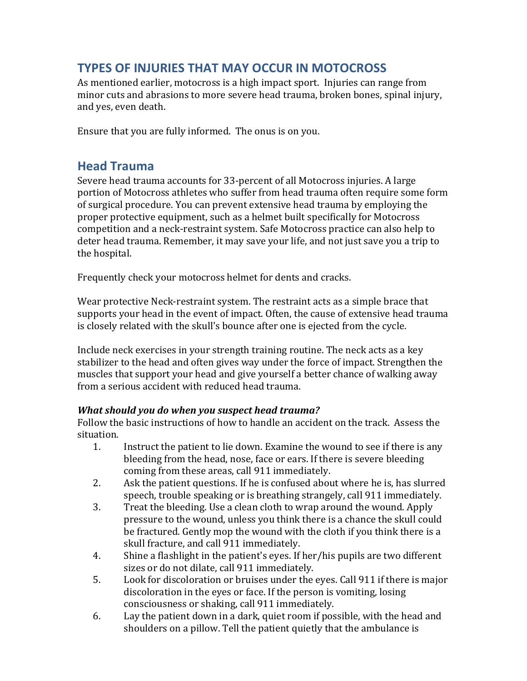# **TYPES OF INJURIES THAT MAY OCCUR IN MOTOCROSS**

As mentioned earlier, motocross is a high impact sport. Injuries can range from minor cuts and abrasions to more severe head trauma, broken bones, spinal injury, and yes, even death.

Ensure that you are fully informed. The onus is on you.

# **Head Trauma**

Severe head trauma accounts for 33-percent of all Motocross injuries. A large portion of Motocross athletes who suffer from head trauma often require some form of surgical procedure. You can prevent extensive head trauma by employing the proper protective equipment, such as a helmet built specifically for Motocross competition and a neck-restraint system. Safe Motocross practice can also help to deter head trauma. Remember, it may save your life, and not just save you a trip to the hospital.

Frequently check your motocross helmet for dents and cracks.

Wear protective Neck-restraint system. The restraint acts as a simple brace that supports your head in the event of impact. Often, the cause of extensive head trauma is closely related with the skull's bounce after one is ejected from the cycle.

Include neck exercises in your strength training routine. The neck acts as a key stabilizer to the head and often gives way under the force of impact. Strengthen the muscles that support your head and give yourself a better chance of walking away from a serious accident with reduced head trauma.

### *What should you do when you suspect head trauma?*

Follow the basic instructions of how to handle an accident on the track. Assess the situation.

- 1. Instruct the patient to lie down. Examine the wound to see if there is any bleeding from the head, nose, face or ears. If there is severe bleeding coming from these areas, call 911 immediately.
- 2. Ask the patient questions. If he is confused about where he is, has slurred speech, trouble speaking or is breathing strangely, call 911 immediately.
- 3. Treat the bleeding. Use a clean cloth to wrap around the wound. Apply pressure to the wound, unless you think there is a chance the skull could be fractured. Gently mop the wound with the cloth if you think there is a skull fracture, and call 911 immediately.
- 4. Shine a flashlight in the patient's eyes. If her/his pupils are two different sizes or do not dilate, call 911 immediately.
- 5. Look for discoloration or bruises under the eyes. Call 911 if there is major discoloration in the eyes or face. If the person is vomiting, losing consciousness or shaking, call 911 immediately.
- 6. Lay the patient down in a dark, quiet room if possible, with the head and shoulders on a pillow. Tell the patient quietly that the ambulance is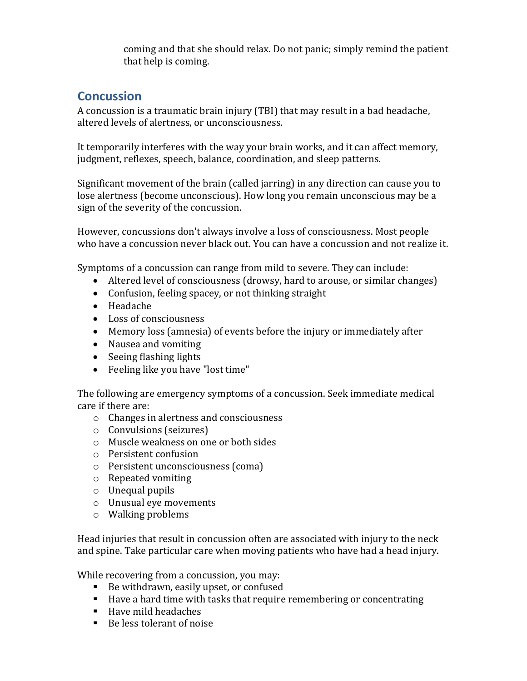coming and that she should relax. Do not panic; simply remind the patient that help is coming.

### **Concussion**

A concussion is a traumatic brain injury (TBI) that may result in a bad headache, altered levels of alertness, or unconsciousness.

It temporarily interferes with the way your brain works, and it can affect memory, judgment, reflexes, speech, balance, coordination, and sleep patterns.

Significant movement of the brain (called jarring) in any direction can cause you to lose alertness (become unconscious). How long you remain unconscious may be a sign of the severity of the concussion.

However, concussions don't always involve a loss of consciousness. Most people who have a concussion never black out. You can have a concussion and not realize it.

Symptoms of a concussion can range from mild to severe. They can include:

- Altered level of consciousness (drowsy, hard to arouse, or similar changes)
- Confusion, feeling spacey, or not thinking straight
- Headache
- Loss of consciousness
- Memory loss (amnesia) of events before the injury or immediately after
- Nausea and vomiting
- Seeing flashing lights
- Feeling like you have "lost time"

The following are emergency symptoms of a concussion. Seek immediate medical care if there are:

- o Changes in alertness and consciousness
- o Convulsions (seizures)
- o Muscle weakness on one or both sides
- o Persistent confusion
- o Persistent unconsciousness (coma)
- o Repeated vomiting
- o Unequal pupils
- o Unusual eye movements
- o Walking problems

Head injuries that result in concussion often are associated with injury to the neck and spine. Take particular care when moving patients who have had a head injury.

While recovering from a concussion, you may:

- Be withdrawn, easily upset, or confused
- Have a hard time with tasks that require remembering or concentrating
- Have mild headaches
- $\blacksquare$  Be less tolerant of noise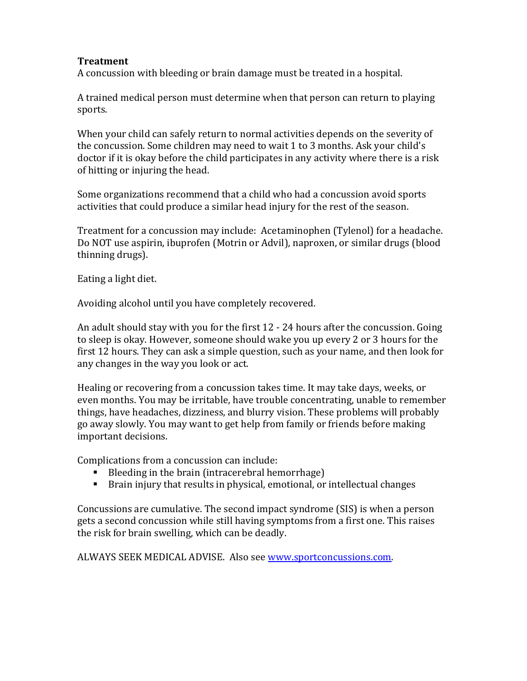### **Treatment**

A concussion with bleeding or brain damage must be treated in a hospital.

A trained medical person must determine when that person can return to playing sports.

When your child can safely return to normal activities depends on the severity of the concussion. Some children may need to wait 1 to 3 months. Ask your child's doctor if it is okay before the child participates in any activity where there is a risk of hitting or injuring the head.

Some organizations recommend that a child who had a concussion avoid sports activities that could produce a similar head injury for the rest of the season.

Treatment for a concussion may include: Acetaminophen (Tylenol) for a headache. Do NOT use aspirin, ibuprofen (Motrin or Advil), naproxen, or similar drugs (blood thinning drugs).

Eating a light diet.

Avoiding alcohol until you have completely recovered.

An adult should stay with you for the first 12 - 24 hours after the concussion. Going to sleep is okay. However, someone should wake you up every 2 or 3 hours for the first 12 hours. They can ask a simple question, such as your name, and then look for any changes in the way you look or act.

Healing or recovering from a concussion takes time. It may take days, weeks, or even months. You may be irritable, have trouble concentrating, unable to remember things, have headaches, dizziness, and blurry vision. These problems will probably go away slowly. You may want to get help from family or friends before making important decisions.

Complications from a concussion can include:

- Bleeding in the brain (intracerebral hemorrhage)
- Brain injury that results in physical, emotional, or intellectual changes

Concussions are cumulative. The second impact syndrome (SIS) is when a person gets a second concussion while still having symptoms from a first one. This raises the risk for brain swelling, which can be deadly.

ALWAYS SEEK MEDICAL ADVISE. Also see [www.sportconcussions.com.](http://www.sportconcussions.com/)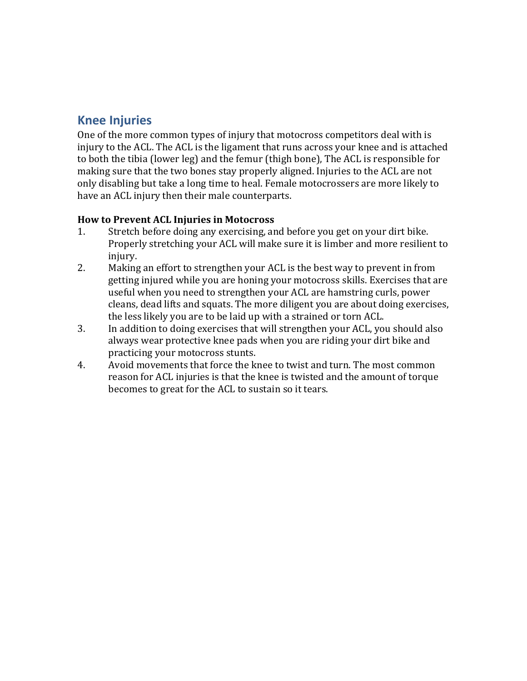# **Knee Injuries**

One of the more common types of injury that motocross competitors deal with is injury to the ACL. The ACL is the ligament that runs across your knee and is attached to both the tibia (lower leg) and the femur (thigh bone), The ACL is responsible for making sure that the two bones stay properly aligned. Injuries to the ACL are not only disabling but take a long time to heal. Female motocrossers are more likely to have an ACL injury then their male counterparts.

### **How to Prevent ACL Injuries in Motocross**

- 1. Stretch before doing any exercising, and before you get on your dirt bike. Properly stretching your ACL will make sure it is limber and more resilient to injury.
- 2. Making an effort to strengthen your ACL is the best way to prevent in from getting injured while you are honing your motocross skills. Exercises that are useful when you need to strengthen your ACL are hamstring curls, power cleans, dead lifts and squats. The more diligent you are about doing exercises, the less likely you are to be laid up with a strained or torn ACL.
- 3. In addition to doing exercises that will strengthen your ACL, you should also always wear protective knee pads when you are riding your dirt bike and practicing your motocross stunts.
- 4. Avoid movements that force the knee to twist and turn. The most common reason for ACL injuries is that the knee is twisted and the amount of torque becomes to great for the ACL to sustain so it tears.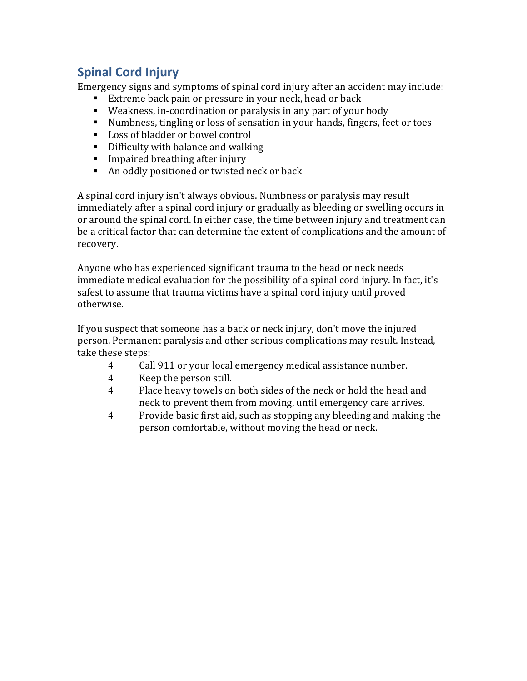# **Spinal Cord Injury**

Emergency signs and symptoms of spinal cord injury after an accident may include:

- Extreme back pain or pressure in your neck, head or back
- Weakness, in-coordination or paralysis in any part of your body
- Numbness, tingling or loss of sensation in your hands, fingers, feet or toes
- Loss of bladder or bowel control
- Difficulty with balance and walking
- **IMPAIRED 19.19.** Impaired breathing after injury
- An oddly positioned or twisted neck or back

A spinal cord injury isn't always obvious. Numbness or paralysis may result immediately after a spinal cord injury or gradually as bleeding or swelling occurs in or around the spinal cord. In either case, the time between injury and treatment can be a critical factor that can determine the extent of complications and the amount of recovery.

Anyone who has experienced significant trauma to the head or neck needs immediate medical evaluation for the possibility of a spinal cord injury. In fact, it's safest to assume that trauma victims have a spinal cord injury until proved otherwise.

If you suspect that someone has a back or neck injury, don't move the injured person. Permanent paralysis and other serious complications may result. Instead, take these steps:

- Call 911 or your local emergency medical assistance number.
- Keep the person still.
- Place heavy towels on both sides of the neck or hold the head and neck to prevent them from moving, until emergency care arrives.
- Provide basic first aid, such as stopping any bleeding and making the person comfortable, without moving the head or neck.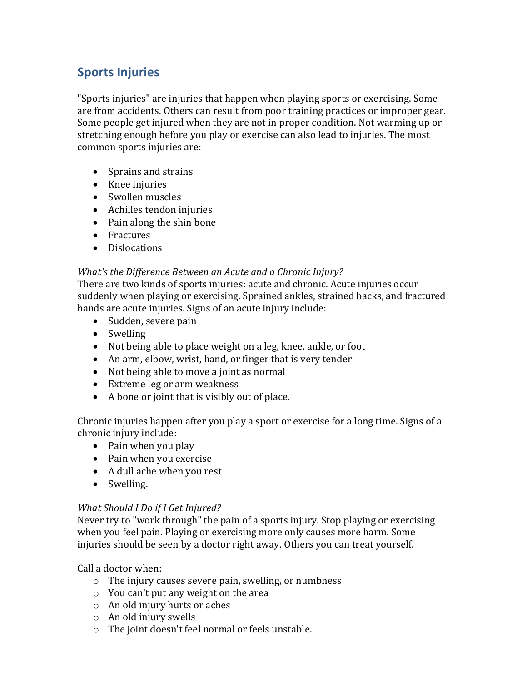# **Sports Injuries**

"Sports injuries" are injuries that happen when playing sports or exercising. Some are from accidents. Others can result from poor training practices or improper gear. Some people get injured when they are not in proper condition. Not warming up or stretching enough before you play or exercise can also lead to injuries. The most common sports injuries are:

- Sprains and strains
- Knee injuries
- Swollen muscles
- Achilles tendon injuries
- Pain along the shin bone
- Fractures
- Dislocations

### *What's the Difference Between an Acute and a Chronic Injury?*

There are two kinds of sports injuries: acute and chronic. Acute injuries occur suddenly when playing or exercising. Sprained ankles, strained backs, and fractured hands are acute injuries. Signs of an acute injury include:

- Sudden, severe pain
- Swelling
- Not being able to place weight on a leg, knee, ankle, or foot
- An arm, elbow, wrist, hand, or finger that is very tender
- Not being able to move a joint as normal
- Extreme leg or arm weakness
- A bone or joint that is visibly out of place.

Chronic injuries happen after you play a sport or exercise for a long time. Signs of a chronic injury include:

- $\bullet$  Pain when you play
- Pain when you exercise
- A dull ache when you rest
- Swelling.

### *What Should I Do if I Get Injured?*

Never try to "work through" the pain of a sports injury. Stop playing or exercising when you feel pain. Playing or exercising more only causes more harm. Some injuries should be seen by a doctor right away. Others you can treat yourself.

Call a doctor when:

- o The injury causes severe pain, swelling, or numbness
- o You can't put any weight on the area
- o An old injury hurts or aches
- o An old injury swells
- o The joint doesn't feel normal or feels unstable.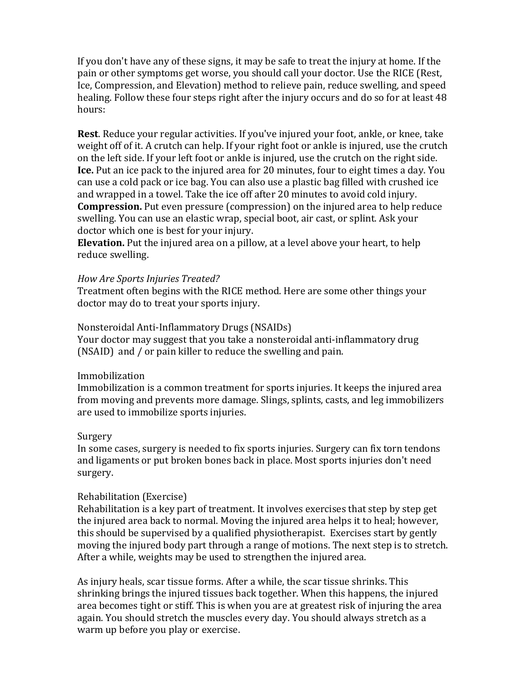If you don't have any of these signs, it may be safe to treat the injury at home. If the pain or other symptoms get worse, you should call your doctor. Use the RICE (Rest, Ice, Compression, and Elevation) method to relieve pain, reduce swelling, and speed healing. Follow these four steps right after the injury occurs and do so for at least 48 hours:

**Rest**. Reduce your regular activities. If you've injured your foot, ankle, or knee, take weight off of it. A crutch can help. If your right foot or ankle is injured, use the crutch on the left side. If your left foot or ankle is injured, use the crutch on the right side. **Ice.** Put an ice pack to the injured area for 20 minutes, four to eight times a day. You can use a cold pack or ice bag. You can also use a plastic bag filled with crushed ice and wrapped in a towel. Take the ice off after 20 minutes to avoid cold injury. **Compression.** Put even pressure (compression) on the injured area to help reduce swelling. You can use an elastic wrap, special boot, air cast, or splint. Ask your doctor which one is best for your injury.

**Elevation.** Put the injured area on a pillow, at a level above your heart, to help reduce swelling.

#### *How Are Sports Injuries Treated?*

Treatment often begins with the RICE method. Here are some other things your doctor may do to treat your sports injury.

#### Nonsteroidal Anti-Inflammatory Drugs (NSAIDs)

Your doctor may suggest that you take a nonsteroidal anti-inflammatory drug (NSAID) and / or pain killer to reduce the swelling and pain.

#### Immobilization

Immobilization is a common treatment for sports injuries. It keeps the injured area from moving and prevents more damage. Slings, splints, casts, and leg immobilizers are used to immobilize sports injuries.

#### Surgery

In some cases, surgery is needed to fix sports injuries. Surgery can fix torn tendons and ligaments or put broken bones back in place. Most sports injuries don't need surgery.

### Rehabilitation (Exercise)

Rehabilitation is a key part of treatment. It involves exercises that step by step get the injured area back to normal. Moving the injured area helps it to heal; however, this should be supervised by a qualified physiotherapist. Exercises start by gently moving the injured body part through a range of motions. The next step is to stretch. After a while, weights may be used to strengthen the injured area.

As injury heals, scar tissue forms. After a while, the scar tissue shrinks. This shrinking brings the injured tissues back together. When this happens, the injured area becomes tight or stiff. This is when you are at greatest risk of injuring the area again. You should stretch the muscles every day. You should always stretch as a warm up before you play or exercise.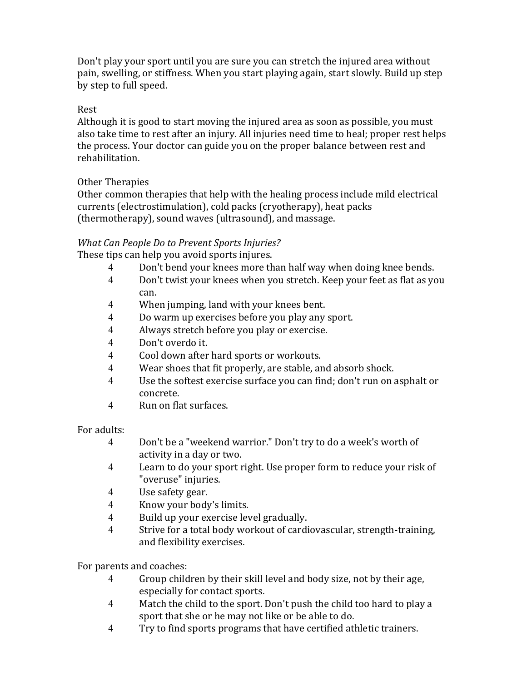Don't play your sport until you are sure you can stretch the injured area without pain, swelling, or stiffness. When you start playing again, start slowly. Build up step by step to full speed.

### Rest

Although it is good to start moving the injured area as soon as possible, you must also take time to rest after an injury. All injuries need time to heal; proper rest helps the process. Your doctor can guide you on the proper balance between rest and rehabilitation.

### Other Therapies

Other common therapies that help with the healing process include mild electrical currents (electrostimulation), cold packs (cryotherapy), heat packs (thermotherapy), sound waves (ultrasound), and massage.

#### *What Can People Do to Prevent Sports Injuries?* These tips can help you avoid sports injures.

- Don't bend your knees more than half way when doing knee bends.
- Don't twist your knees when you stretch. Keep your feet as flat as you can.
- When jumping, land with your knees bent.
- Do warm up exercises before you play any sport.
- Always stretch before you play or exercise.
- Don't overdo it.
- Cool down after hard sports or workouts.
- Wear shoes that fit properly, are stable, and absorb shock.
- Use the softest exercise surface you can find; don't run on asphalt or concrete.
- Run on flat surfaces.

### For adults:

- Don't be a "weekend warrior." Don't try to do a week's worth of activity in a day or two.
- Learn to do your sport right. Use proper form to reduce your risk of "overuse" injuries.
- Use safety gear.
- Know your body's limits.
- Build up your exercise level gradually.
- Strive for a total body workout of cardiovascular, strength-training, and flexibility exercises.

For parents and coaches:

- Group children by their skill level and body size, not by their age, especially for contact sports.
- Match the child to the sport. Don't push the child too hard to play a sport that she or he may not like or be able to do.
- Try to find sports programs that have certified athletic trainers.